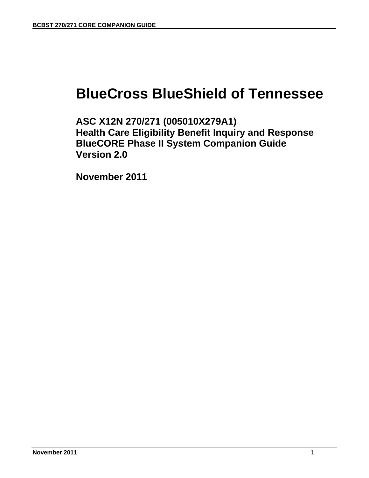# **BlueCross BlueShield of Tennessee**

**ASC X12N 270/271 (005010X279A1) Health Care Eligibility Benefit Inquiry and Response BlueCORE Phase II System Companion Guide Version 2.0** 

 **November 2011**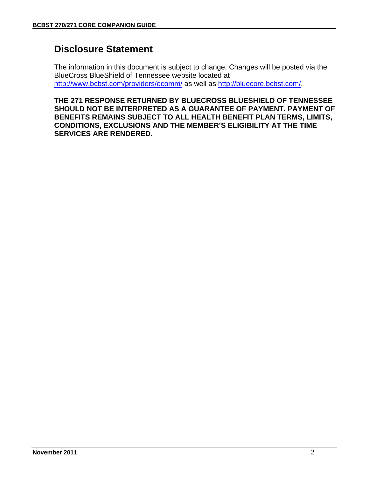# **Disclosure Statement**

The information in this document is subject to change. Changes will be posted via the BlueCross BlueShield of Tennessee website located at http://www.bcbst.com/providers/ecomm/ as well as http://bluecore.bcbst.com/.

**THE 271 RESPONSE RETURNED BY BLUECROSS BLUESHIELD OF TENNESSEE SHOULD NOT BE INTERPRETED AS A GUARANTEE OF PAYMENT. PAYMENT OF BENEFITS REMAINS SUBJECT TO ALL HEALTH BENEFIT PLAN TERMS, LIMITS, CONDITIONS, EXCLUSIONS AND THE MEMBER'S ELIGIBILITY AT THE TIME SERVICES ARE RENDERED.**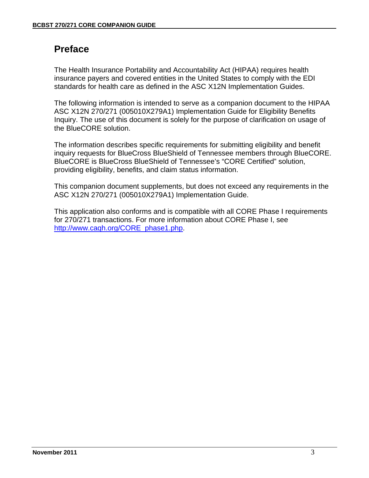# **Preface**

The Health Insurance Portability and Accountability Act (HIPAA) requires health insurance payers and covered entities in the United States to comply with the EDI standards for health care as defined in the ASC X12N Implementation Guides.

The following information is intended to serve as a companion document to the HIPAA ASC X12N 270/271 (005010X279A1) Implementation Guide for Eligibility Benefits Inquiry. The use of this document is solely for the purpose of clarification on usage of the BlueCORE solution.

The information describes specific requirements for submitting eligibility and benefit inquiry requests for BlueCross BlueShield of Tennessee members through BlueCORE. BlueCORE is BlueCross BlueShield of Tennessee's "CORE Certified" solution, providing eligibility, benefits, and claim status information.

This companion document supplements, but does not exceed any requirements in the ASC X12N 270/271 (005010X279A1) Implementation Guide.

This application also conforms and is compatible with all CORE Phase I requirements for 270/271 transactions. For more information about CORE Phase I, see http://www.caqh.org/CORE\_phase1.php.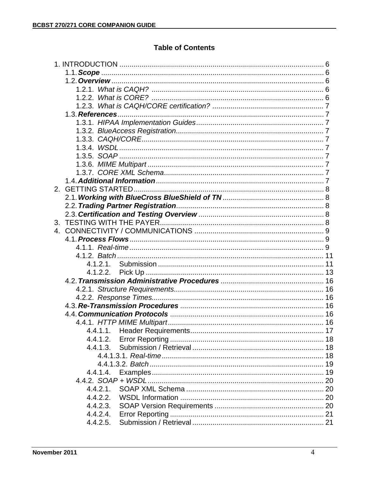## **Table of Contents**

| 2 <sup>2</sup> |          |  |
|----------------|----------|--|
|                |          |  |
|                |          |  |
|                |          |  |
|                |          |  |
| $\mathbf{4}$   |          |  |
|                |          |  |
|                |          |  |
|                |          |  |
|                |          |  |
|                | 4.1.2.2. |  |
|                |          |  |
|                |          |  |
|                |          |  |
|                |          |  |
|                |          |  |
|                |          |  |
|                |          |  |
|                | 4.4.1.2. |  |
|                | 4.4.1.3. |  |
|                |          |  |
|                |          |  |
|                | 4.4.1.4. |  |
|                |          |  |
|                | 4.4.2.1. |  |
|                | 4.4.2.2. |  |
|                | 4.4.2.3. |  |
|                | 4.4.2.4. |  |
|                | 4.4.2.5. |  |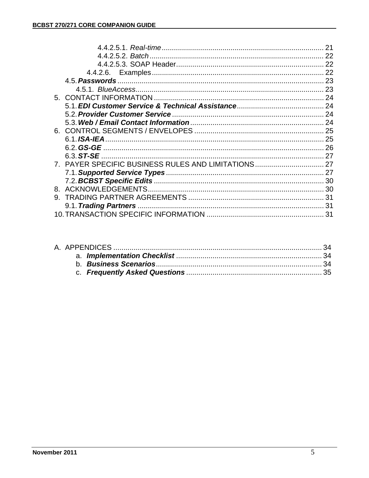|    | 7. PAYER SPECIFIC BUSINESS RULES AND LIMITATIONS 27 |     |
|----|-----------------------------------------------------|-----|
|    |                                                     |     |
|    |                                                     |     |
|    |                                                     |     |
| 9. |                                                     |     |
|    |                                                     | -31 |
|    |                                                     | .31 |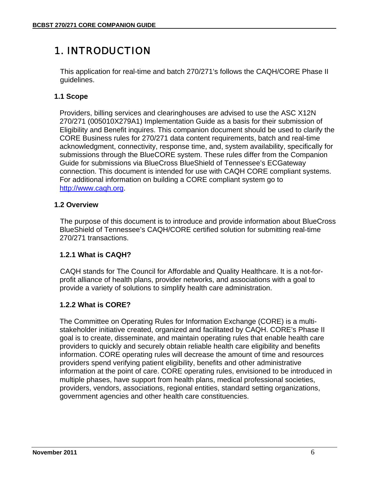# 1. INTRODUCTION

This application for real-time and batch 270/271's follows the CAQH/CORE Phase II guidelines.

### **1.1 Scope**

Providers, billing services and clearinghouses are advised to use the ASC X12N 270/271 (005010X279A1) Implementation Guide as a basis for their submission of Eligibility and Benefit inquires. This companion document should be used to clarify the CORE Business rules for 270/271 data content requirements, batch and real-time acknowledgment, connectivity, response time, and, system availability, specifically for submissions through the BlueCORE system. These rules differ from the Companion Guide for submissions via BlueCross BlueShield of Tennessee's ECGateway connection. This document is intended for use with CAQH CORE compliant systems. For additional information on building a CORE compliant system go to http://www.caqh.org.

### **1.2 Overview**

The purpose of this document is to introduce and provide information about BlueCross BlueShield of Tennessee's CAQH/CORE certified solution for submitting real-time 270/271 transactions.

### **1.2.1 What is CAQH?**

CAQH stands for The Council for Affordable and Quality Healthcare. It is a not-forprofit alliance of health plans, provider networks, and associations with a goal to provide a variety of solutions to simplify health care administration.

### **1.2.2 What is CORE?**

The Committee on Operating Rules for Information Exchange (CORE) is a multistakeholder initiative created, organized and facilitated by CAQH. CORE's Phase II goal is to create, disseminate, and maintain operating rules that enable health care providers to quickly and securely obtain reliable health care eligibility and benefits information. CORE operating rules will decrease the amount of time and resources providers spend verifying patient eligibility, benefits and other administrative information at the point of care. CORE operating rules, envisioned to be introduced in multiple phases, have support from health plans, medical professional societies, providers, vendors, associations, regional entities, standard setting organizations, government agencies and other health care constituencies.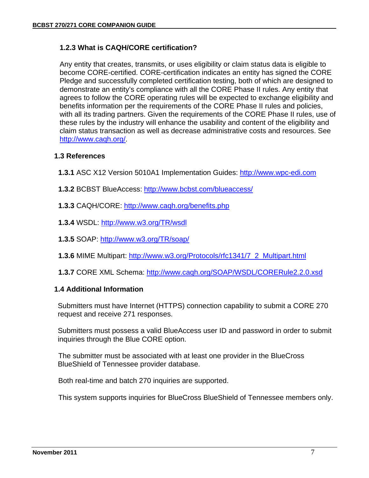### **1.2.3 What is CAQH/CORE certification?**

Any entity that creates, transmits, or uses eligibility or claim status data is eligible to become CORE-certified. CORE-certification indicates an entity has signed the CORE Pledge and successfully completed certification testing, both of which are designed to demonstrate an entity's compliance with all the CORE Phase II rules. Any entity that agrees to follow the CORE operating rules will be expected to exchange eligibility and benefits information per the requirements of the CORE Phase II rules and policies, with all its trading partners. Given the requirements of the CORE Phase II rules, use of these rules by the industry will enhance the usability and content of the eligibility and claim status transaction as well as decrease administrative costs and resources. See http://www.caqh.org/.

#### **1.3 References**

- **1.3.1** ASC X12 Version 5010A1 Implementation Guides: http://www.wpc-edi.com
- **1.3.2** BCBST BlueAccess: http://www.bcbst.com/blueaccess/
- **1.3.3** CAQH/CORE: http://www.caqh.org/benefits.php
- **1.3.4** WSDL: http://www.w3.org/TR/wsdl
- **1.3.5** SOAP: http://www.w3.org/TR/soap/
- **1.3.6** MIME Multipart: http://www.w3.org/Protocols/rfc1341/7\_2\_Multipart.html
- **1.3.7** CORE XML Schema: http://www.caqh.org/SOAP/WSDL/CORERule2.2.0.xsd

#### **1.4 Additional Information**

Submitters must have Internet (HTTPS) connection capability to submit a CORE 270 request and receive 271 responses.

Submitters must possess a valid BlueAccess user ID and password in order to submit inquiries through the Blue CORE option.

The submitter must be associated with at least one provider in the BlueCross BlueShield of Tennessee provider database.

Both real-time and batch 270 inquiries are supported.

This system supports inquiries for BlueCross BlueShield of Tennessee members only.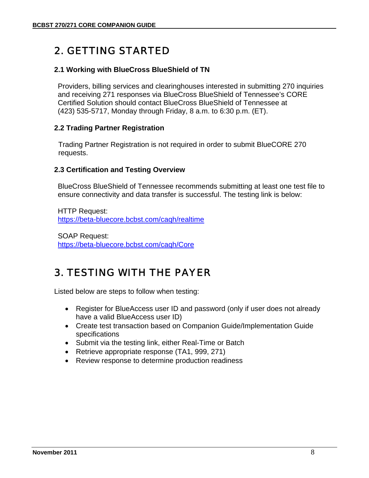# 2. GETTING STARTED

#### **2.1 Working with BlueCross BlueShield of TN**

Providers, billing services and clearinghouses interested in submitting 270 inquiries and receiving 271 responses via BlueCross BlueShield of Tennessee's CORE Certified Solution should contact BlueCross BlueShield of Tennessee at (423) 535-5717, Monday through Friday, 8 a.m. to 6:30 p.m. (ET).

#### **2.2 Trading Partner Registration**

Trading Partner Registration is not required in order to submit BlueCORE 270 requests.

#### **2.3 Certification and Testing Overview**

BlueCross BlueShield of Tennessee recommends submitting at least one test file to ensure connectivity and data transfer is successful. The testing link is below:

HTTP Request: https://beta-bluecore.bcbst.com/caqh/realtime

SOAP Request: https://beta-bluecore.bcbst.com/caqh/Core

# 3. TESTING WITH THE PAYER

Listed below are steps to follow when testing:

- Register for BlueAccess user ID and password (only if user does not already have a valid BlueAccess user ID)
- Create test transaction based on Companion Guide/Implementation Guide specifications
- Submit via the testing link, either Real-Time or Batch
- Retrieve appropriate response (TA1, 999, 271)
- Review response to determine production readiness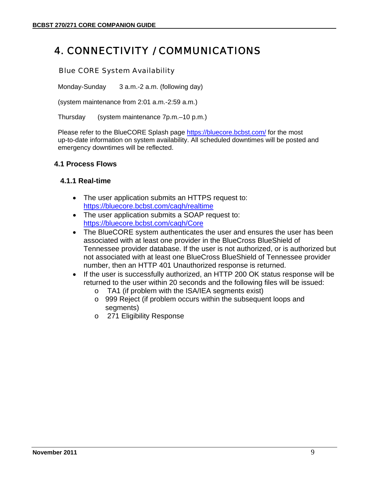# 4. CONNECTIVITY / COMMUNICATIONS

#### Blue CORE System Availability

Monday-Sunday 3 a.m.-2 a.m. (following day)

(system maintenance from 2:01 a.m.-2:59 a.m.)

Thursday (system maintenance 7p.m.–10 p.m.)

Please refer to the BlueCORE Splash page https://bluecore.bcbst.com/ for the most up-to-date information on system availability. All scheduled downtimes will be posted and emergency downtimes will be reflected.

#### **4.1 Process Flows**

#### **4.1.1 Real-time**

- The user application submits an HTTPS request to: https://bluecore.bcbst.com/caqh/realtime
- The user application submits a SOAP request to: https://bluecore.bcbst.com/caqh/Core
- The BlueCORE system authenticates the user and ensures the user has been associated with at least one provider in the BlueCross BlueShield of Tennessee provider database. If the user is not authorized, or is authorized but not associated with at least one BlueCross BlueShield of Tennessee provider number, then an HTTP 401 Unauthorized response is returned.
- If the user is successfully authorized, an HTTP 200 OK status response will be returned to the user within 20 seconds and the following files will be issued:
	- o TA1 (if problem with the ISA/IEA segments exist)
	- o 999 Reject (if problem occurs within the subsequent loops and segments)
	- o 271 Eligibility Response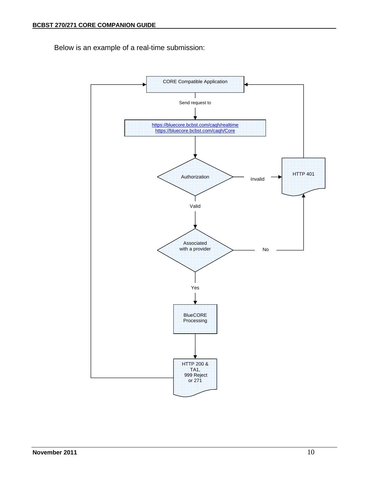Below is an example of a real-time submission:

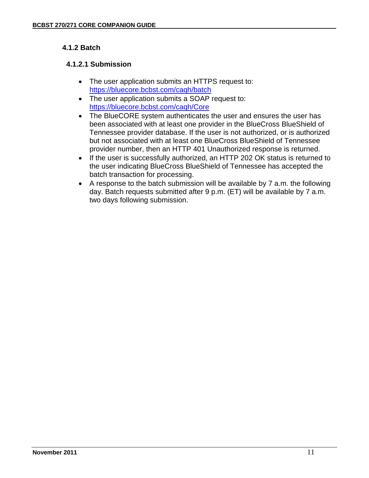### **4.1.2 Batch**

### **4.1.2.1 Submission**

- The user application submits an HTTPS request to: https://bluecore.bcbst.com/caqh/batch
- The user application submits a SOAP request to: https://bluecore.bcbst.com/caqh/Core
- The BlueCORE system authenticates the user and ensures the user has been associated with at least one provider in the BlueCross BlueShield of Tennessee provider database. If the user is not authorized, or is authorized but not associated with at least one BlueCross BlueShield of Tennessee provider number, then an HTTP 401 Unauthorized response is returned.
- If the user is successfully authorized, an HTTP 202 OK status is returned to the user indicating BlueCross BlueShield of Tennessee has accepted the batch transaction for processing.
- A response to the batch submission will be available by 7 a.m. the following day. Batch requests submitted after 9 p.m. (ET) will be available by 7 a.m. two days following submission.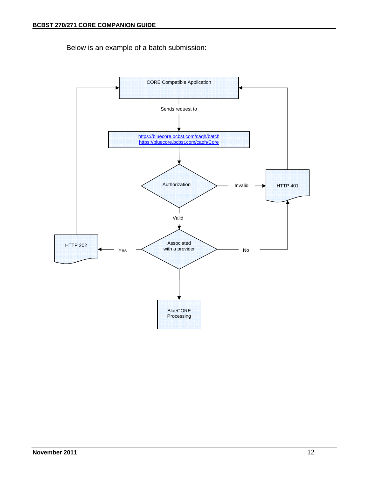Below is an example of a batch submission:

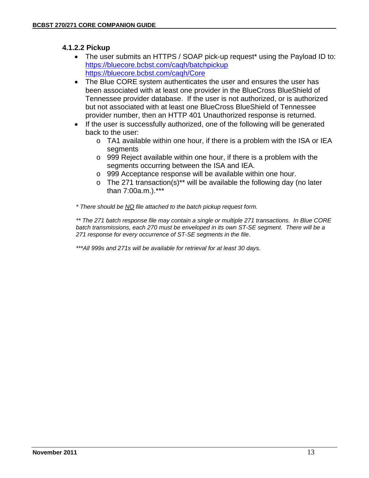### **4.1.2.2 Pickup**

- The user submits an HTTPS / SOAP pick-up request\* using the Payload ID to: https://bluecore.bcbst.com/caqh/batchpickup https://bluecore.bcbst.com/caqh/Core
- The Blue CORE system authenticates the user and ensures the user has been associated with at least one provider in the BlueCross BlueShield of Tennessee provider database. If the user is not authorized, or is authorized but not associated with at least one BlueCross BlueShield of Tennessee provider number, then an HTTP 401 Unauthorized response is returned.
- If the user is successfully authorized, one of the following will be generated back to the user:
	- o TA1 available within one hour, if there is a problem with the ISA or IEA segments
	- o 999 Reject available within one hour, if there is a problem with the segments occurring between the ISA and IEA.
	- o 999 Acceptance response will be available within one hour.
	- $\circ$  The 271 transaction(s)<sup>\*\*</sup> will be available the following day (no later than 7:00a.m.).\*\*\*

*\* There should be NO file attached to the batch pickup request form.* 

*\*\* The 271 batch response file may contain a single or multiple 271 transactions. In Blue CORE batch transmissions, each 270 must be enveloped in its own ST-SE segment. There will be a 271 response for every occurrence of ST-SE segments in the file*.

*\*\*\*All 999s and 271s will be available for retrieval for at least 30 days.*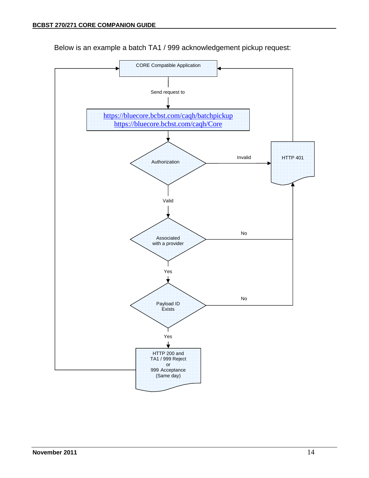

Below is an example a batch TA1 / 999 acknowledgement pickup request: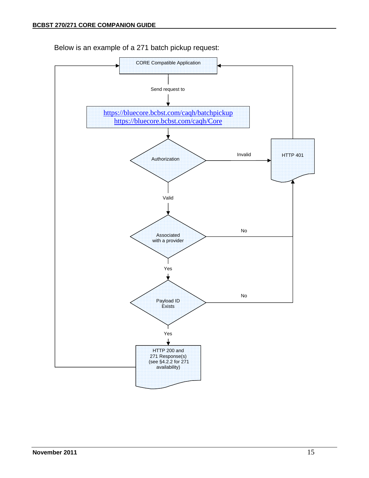

Below is an example of a 271 batch pickup request: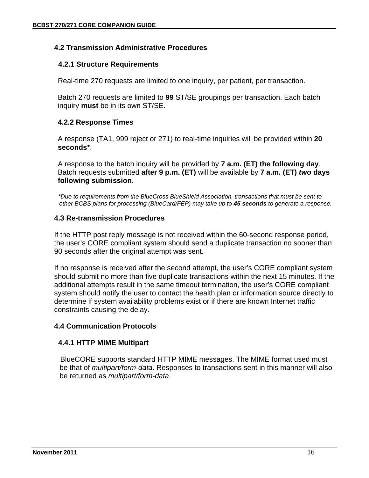#### **4.2 Transmission Administrative Procedures**

#### **4.2.1 Structure Requirements**

Real-time 270 requests are limited to one inquiry, per patient, per transaction.

Batch 270 requests are limited to **99** ST/SE groupings per transaction. Each batch inquiry **must** be in its own ST/SE.

#### **4.2.2 Response Times**

A response (TA1, 999 reject or 271) to real-time inquiries will be provided within **20 seconds\***.

A response to the batch inquiry will be provided by **7 a.m. (ET) the following day**. Batch requests submitted **after 9 p.m. (ET)** will be available by **7 a.m. (ET)** *two* **days following submission**.

 *\*Due to requirements from the BlueCross BlueShield Association, transactions that must be sent to other BCBS plans for processing (BlueCard/FEP) may take up to 45 seconds to generate a response.*

#### **4.3 Re-transmission Procedures**

If the HTTP post reply message is not received within the 60-second response period, the user's CORE compliant system should send a duplicate transaction no sooner than 90 seconds after the original attempt was sent.

If no response is received after the second attempt, the user's CORE compliant system should submit no more than five duplicate transactions within the next 15 minutes. If the additional attempts result in the same timeout termination, the user's CORE compliant system should notify the user to contact the health plan or information source directly to determine if system availability problems exist or if there are known Internet traffic constraints causing the delay.

### **4.4 Communication Protocols**

#### **4.4.1 HTTP MIME Multipart**

BlueCORE supports standard HTTP MIME messages. The MIME format used must be that of *multipart/form-data*. Responses to transactions sent in this manner will also be returned as *multipart/form-data*.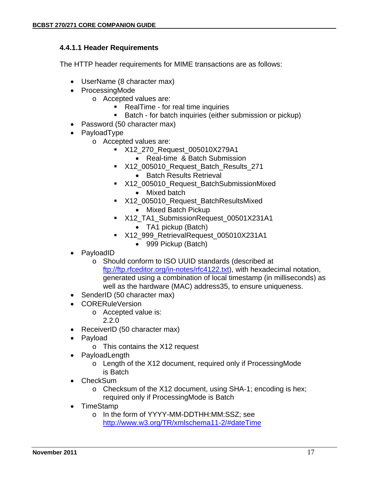#### **4.4.1.1 Header Requirements**

The HTTP header requirements for MIME transactions are as follows:

- UserName (8 character max)
- ProcessingMode
	- o Accepted values are:
		- **RealTime for real time inquiries**
		- **Batch for batch inquiries (either submission or pickup)**
- Password (50 character max)
- PayloadType
	- o Accepted values are:
		- X12\_270\_Request\_005010X279A1
			- Real-time & Batch Submission
		- X12\_005010\_Request\_Batch\_Results\_271
			- Batch Results Retrieval
		- X12\_005010\_Request\_BatchSubmissionMixed
			- Mixed batch
		- X12\_005010\_Request\_BatchResultsMixed • Mixed Batch Pickup
		- X12\_TA1\_SubmissionRequest\_00501X231A1 • TA1 pickup (Batch)
		- X12\_999\_RetrievalRequest\_005010X231A1
			- 999 Pickup (Batch)
- PayloadID
	- o Should conform to ISO UUID standards (described at ftp://ftp.rfceditor.org/in-notes/rfc4122.txt), with hexadecimal notation, generated using a combination of local timestamp (in milliseconds) as well as the hardware (MAC) address35, to ensure uniqueness.
- SenderID (50 character max)
- **CORERuleVersion** 
	- o Accepted value is:
		- 2.2.0
- ReceiverID (50 character max)
- Payload
	- o This contains the X12 request
	- **PayloadLength** 
		- o Length of the X12 document, required only if ProcessingMode is Batch
- CheckSum
	- o Checksum of the X12 document, using SHA-1; encoding is hex; required only if ProcessingMode is Batch
- TimeStamp
	- o In the form of YYYY-MM-DDTHH:MM:SSZ; see http://www.w3.org/TR/xmlschema11-2/#dateTime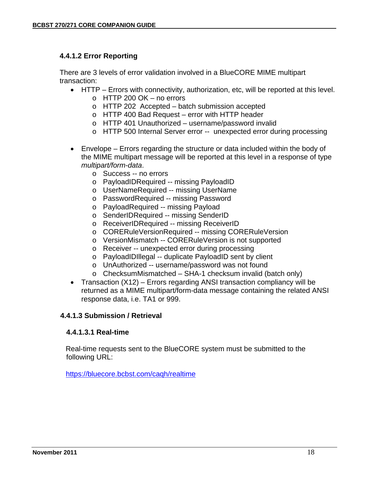#### **4.4.1.2 Error Reporting**

There are 3 levels of error validation involved in a BlueCORE MIME multipart transaction:

- HTTP Errors with connectivity, authorization, etc, will be reported at this level.
	- o HTTP 200 OK no errors
	- o HTTP 202 Accepted batch submission accepted
	- o HTTP 400 Bad Request error with HTTP header
	- o HTTP 401 Unauthorized username/password invalid
	- o HTTP 500 Internal Server error -- unexpected error during processing
- Envelope Errors regarding the structure or data included within the body of the MIME multipart message will be reported at this level in a response of type *multipart/form-data*.
	- o Success -- no errors
	- o PayloadIDRequired -- missing PayloadID
	- o UserNameRequired -- missing UserName
	- o PasswordRequired -- missing Password
	- o PayloadRequired -- missing Payload
	- o SenderIDRequired -- missing SenderID
	- o ReceiverIDRequired -- missing ReceiverID
	- o CORERuleVersionRequired -- missing CORERuleVersion
	- o VersionMismatch -- CORERuleVersion is not supported
	- o Receiver -- unexpected error during processing
	- o PayloadIDIllegal -- duplicate PayloadID sent by client
	- o UnAuthorized -- username/password was not found
	- o ChecksumMismatched SHA-1 checksum invalid (batch only)
- Transaction (X12) Errors regarding ANSI transaction compliancy will be returned as a MIME multipart/form-data message containing the related ANSI response data, i.e. TA1 or 999.

#### **4.4.1.3 Submission / Retrieval**

#### **4.4.1.3.1 Real-time**

Real-time requests sent to the BlueCORE system must be submitted to the following URL:

https://bluecore.bcbst.com/caqh/realtime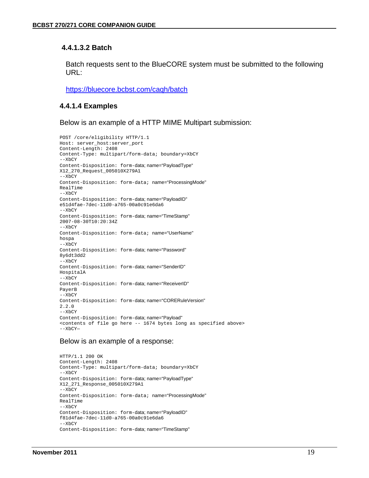#### **4.4.1.3.2 Batch**

Batch requests sent to the BlueCORE system must be submitted to the following URL:

https://bluecore.bcbst.com/caqh/batch

#### **4.4.1.4 Examples**

Below is an example of a HTTP MIME Multipart submission:

```
POST /core/eligibility HTTP/1.1 
Host: server_host:server_port 
Content-Length: 2408 
Content-Type: multipart/form-data; boundary=XbCY 
--XbCY 
Content-Disposition: form-data; name="PayloadType" 
X12_270_Request_005010X279A1 
--XbCY 
Content-Disposition: form-data; name="ProcessingMode" 
RealTime 
-XbCYContent-Disposition: form-data; name="PayloadID" 
e51d4fae-7dec-11d0-a765-00a0c91e6da6 
--XbCY 
Content-Disposition: form-data; name="TimeStamp" 
2007-08-30T10:20:34Z 
-XbCYContent-Disposition: form-data; name="UserName" 
hospa 
-XCYContent-Disposition: form-data; name="Password" 
8y6dt3dd2 
--XbCY 
Content-Disposition: form-data; name="SenderID" 
HospitalA 
-XbCYContent-Disposition: form-data; name="ReceiverID" 
PayerB 
--XbCY 
Content-Disposition: form-data; name="CORERuleVersion" 
2.2.0 
-xhCy
Content-Disposition: form-data; name="Payload" 
<contents of file go here -- 1674 bytes long as specified above> 
-XbCY-
```
#### Below is an example of a response:

```
HTTP/1.1 200 OK 
Content-Length: 2408 
Content-Type: multipart/form-data; boundary=XbCY 
--XbCY 
Content-Disposition: form-data; name="PayloadType" 
X12_271_Response_005010X279A1 
-xhcyContent-Disposition: form-data; name="ProcessingMode" 
RealTime 
--XbCY 
Content-Disposition: form-data; name="PayloadID" 
f81d4fae-7dec-11d0-a765-00a0c91e6da6 
--XbCY 
Content-Disposition: form-data; name="TimeStamp"
```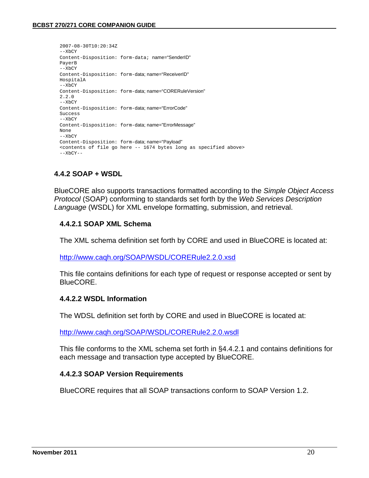```
2007-08-30T10:20:34Z 
-XbCYContent-Disposition: form-data; name="SenderID" 
PayerB 
--XbCY 
Content-Disposition: form-data; name="ReceiverID" 
HospitalA 
-XCYContent-Disposition: form-data; name="CORERuleVersion" 
2.2.0 
-xhcyContent-Disposition: form-data; name="ErrorCode" 
Success 
--XbCY 
Content-Disposition: form-data; name="ErrorMessage" 
None 
-XhCYContent-Disposition: form-data; name="Payload" 
<contents of file go here -- 1674 bytes long as specified above> 
--XbCY--
```
#### **4.4.2 SOAP + WSDL**

BlueCORE also supports transactions formatted according to the *Simple Object Access Protocol* (SOAP) conforming to standards set forth by the *Web Services Description Language* (WSDL) for XML envelope formatting, submission, and retrieval.

#### **4.4.2.1 SOAP XML Schema**

The XML schema definition set forth by CORE and used in BlueCORE is located at:

http://www.caqh.org/SOAP/WSDL/CORERule2.2.0.xsd

This file contains definitions for each type of request or response accepted or sent by BlueCORE.

#### **4.4.2.2 WSDL Information**

The WDSL definition set forth by CORE and used in BlueCORE is located at:

http://www.caqh.org/SOAP/WSDL/CORERule2.2.0.wsdl

This file conforms to the XML schema set forth in §4.4.2.1 and contains definitions for each message and transaction type accepted by BlueCORE.

#### **4.4.2.3 SOAP Version Requirements**

BlueCORE requires that all SOAP transactions conform to SOAP Version 1.2.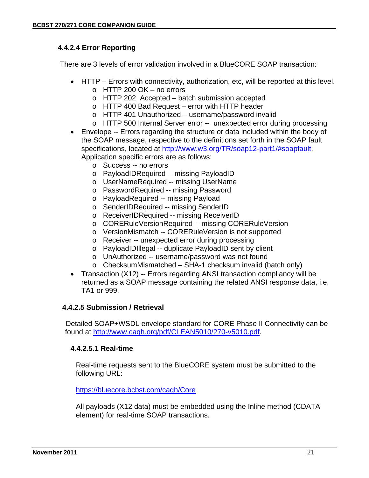### **4.4.2.4 Error Reporting**

There are 3 levels of error validation involved in a BlueCORE SOAP transaction:

- HTTP Errors with connectivity, authorization, etc, will be reported at this level.
	- o HTTP 200 OK no errors
	- o HTTP 202 Accepted batch submission accepted
	- o HTTP 400 Bad Request error with HTTP header
	- o HTTP 401 Unauthorized username/password invalid
	- o HTTP 500 Internal Server error -- unexpected error during processing
- Envelope -- Errors regarding the structure or data included within the body of the SOAP message, respective to the definitions set forth in the SOAP fault specifications, located at http://www.w3.org/TR/soap12-part1/#soapfault. Application specific errors are as follows:
	- o Success -- no errors
	- o PayloadIDRequired -- missing PayloadID
	- o UserNameRequired -- missing UserName
	- o PasswordRequired -- missing Password
	- o PayloadRequired -- missing Payload
	- o SenderIDRequired -- missing SenderID
	- o ReceiverIDRequired -- missing ReceiverID
	- o CORERuleVersionRequired -- missing CORERuleVersion
	- o VersionMismatch -- CORERuleVersion is not supported
	- o Receiver -- unexpected error during processing
	- o PayloadIDIllegal -- duplicate PayloadID sent by client
	- o UnAuthorized -- username/password was not found
	- o ChecksumMismatched SHA-1 checksum invalid (batch only)
- Transaction (X12) -- Errors regarding ANSI transaction compliancy will be returned as a SOAP message containing the related ANSI response data, i.e. TA1 or 999.

#### **4.4.2.5 Submission / Retrieval**

 Detailed SOAP+WSDL envelope standard for CORE Phase II Connectivity can be found at http://www.caqh.org/pdf/CLEAN5010/270-v5010.pdf.

### **4.4.2.5.1 Real-time**

Real-time requests sent to the BlueCORE system must be submitted to the following URL:

https://bluecore.bcbst.com/caqh/Core

All payloads (X12 data) must be embedded using the Inline method (CDATA element) for real-time SOAP transactions.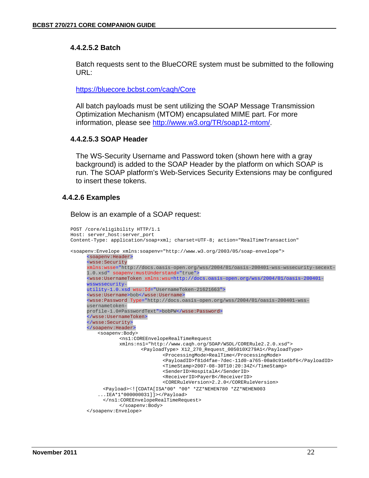#### **4.4.2.5.2 Batch**

Batch requests sent to the BlueCORE system must be submitted to the following URL:

https://bluecore.bcbst.com/caqh/Core

All batch payloads must be sent utilizing the SOAP Message Transmission Optimization Mechanism (MTOM) encapsulated MIME part. For more information, please see http://www.w3.org/TR/soap12-mtom/.

#### **4.4.2.5.3 SOAP Header**

The WS-Security Username and Password token (shown here with a gray background) is added to the SOAP Header by the platform on which SOAP is run. The SOAP platform's Web-Services Security Extensions may be configured to insert these tokens.

#### **4.4.2.6 Examples**

Below is an example of a SOAP request:

```
POST /core/eligibility HTTP/1.1 
Host: server_host:server_port 
Content-Type: application/soap+xml; charset=UTF-8; action="RealTimeTransaction" 
<soapenv:Envelope xmlns:soapenv="http://www.w3.org/2003/05/soap-envelope"> 
      <soapenv:Header> 
      <wsse:Security 
      xmlns:wsse="http://docs.oasis-open.org/wss/2004/01/oasis-200401-wss-wssecurity-secext-
      1.0.xsd" soapenv:mustUnderstand="true"> 
      <wsse:UsernameToken xmlns:wsu=http://docs.oasis-open.org/wss/2004/01/oasis-200401-
      wsswssecurity-
      utility-1.0.xsd wsu:Id="UsernameToken-21621663"> 
      <wsse:Username>bob</wsse:Username> 
      <wsse:Password Type="http://docs.oasis-open.org/wss/2004/01/oasis-200401-wss-
      usernametoken-
      profile-1.0#PasswordText">bobPW</wsse:Password> 
      </wsse:UsernameToken> 
      </wsse:Security> 
      </soapenv:Header> 
         <soapenv:Body> 
                 <ns1:COREEnvelopeRealTimeRequest 
                 xmlns:ns1="http://www.caqh.org/SOAP/WSDL/CORERule2.2.0.xsd"> 
                         <PayloadType> X12_270_Request_005010X279A1</PayloadType> 
                                 <ProcessingMode>RealTime</ProcessingMode> 
                                 <PayloadID>f81d4fae-7dec-11d0-a765-00a0c91e6bf6</PayloadID> 
                                 <TimeStamp>2007-08-30T10:20:34Z</TimeStamp> 
                                 <SenderID>HospitalA</SenderID> 
                                 <ReceiverID>PayerB</ReceiverID> 
                                 <CORERuleVersion>2.2.0</CORERuleVersion> 
           <Payload><![CDATA[ISA*00* *00* *ZZ*NEHEN780 *ZZ*NEHEN003 
          ...IEA*1*000000031]]></Payload> 
           </ns1:COREEnvelopeRealTimeRequest> 
                 </soapenv:Body> 
      </soapenv:Envelope>
```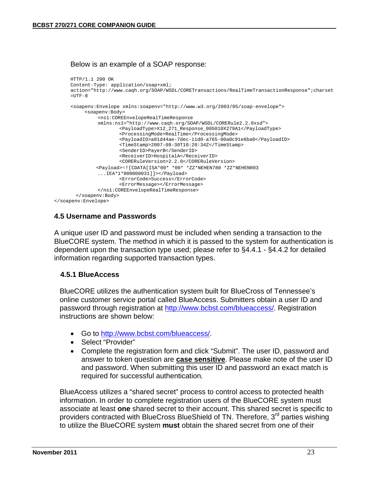Below is an example of a SOAP response:

```
HTTP/1.1 200 OK 
     Content-Type: application/soap+xml; 
     action="http://www.caqh.org/SOAP/WSDL/CORETransactions/RealTimeTransactionResponse";charset
     =UTF--8<soapenv:Envelope xmlns:soapenv="http://www.w3.org/2003/05/soap-envelope"> 
           <soapenv:Body> 
               <ns1:COREEnvelopeRealTimeResponse 
               xmlns:ns1="http://www.caqh.org/SOAP/WSDL/CORERule2.2.0xsd"> 
                       <PayloadType>X12_271_Response_005010X279A1</PayloadType> 
                       <ProcessingMode>RealTime</ProcessingMode> 
                       <PayloadID>a81d44ae-7dec-11d0-a765-00a0c91e6ba0</PayloadID> 
                       <TimeStamp>2007-08-30T10:20:34Z</TimeStamp> 
                       <SenderID>PayerB</SenderID> 
                       <ReceiverID>HospitalA</ReceiverID> 
                       <CORERuleVersion>2.2.0</CORERuleVersion> 
               <Payload><![CDATA[ISA*00* *00* *ZZ*NEHEN780 *ZZ*NEHEN003 
               ...IEA*1*000000031]]></Payload> 
                      <ErrorCode>Success</ErrorCode> 
                       <ErrorMessage></ErrorMessage> 
               </ns1:COREEnvelopeRealTimeResponse> 
       </soapenv:Body> 
</soapenv:Envelope>
```
#### **4.5 Username and Passwords**

A unique user ID and password must be included when sending a transaction to the BlueCORE system. The method in which it is passed to the system for authentication is dependent upon the transaction type used; please refer to §4.4.1 - §4.4.2 for detailed information regarding supported transaction types.

#### **4.5.1 BlueAccess**

BlueCORE utilizes the authentication system built for BlueCross of Tennessee's online customer service portal called BlueAccess. Submitters obtain a user ID and password through registration at http://www.bcbst.com/blueaccess/. Registration instructions are shown below:

- Go to http://www.bcbst.com/blueaccess/.
- Select "Provider"
- Complete the registration form and click "Submit". The user ID, password and answer to token question are **case sensitive**. Please make note of the user ID and password. When submitting this user ID and password an exact match is required for successful authentication*.*

 BlueAccess utilizes a "shared secret" process to control access to protected health information. In order to complete registration users of the BlueCORE system must associate at least **one** shared secret to their account. This shared secret is specific to providers contracted with BlueCross BlueShield of TN. Therefore, 3<sup>rd</sup> parties wishing to utilize the BlueCORE system **must** obtain the shared secret from one of their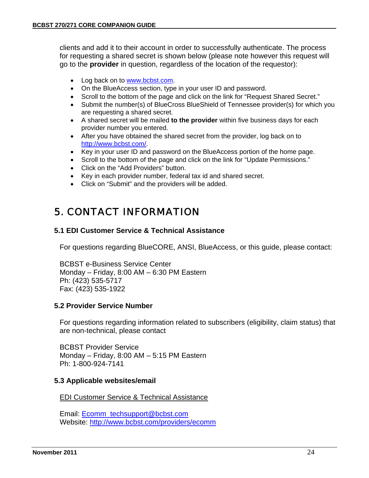clients and add it to their account in order to successfully authenticate. The process for requesting a shared secret is shown below (please note however this request will go to the **provider** in question, regardless of the location of the requestor):

- Log back on to www.bcbst.com.
- On the BlueAccess section, type in your user ID and password.
- Scroll to the bottom of the page and click on the link for "Request Shared Secret."
- Submit the number(s) of BlueCross BlueShield of Tennessee provider(s) for which you are requesting a shared secret.
- A shared secret will be mailed **to the provider** within five business days for each provider number you entered.
- After you have obtained the shared secret from the provider, log back on to http://www.bcbst.com/.
- Key in your user ID and password on the BlueAccess portion of the home page.
- Scroll to the bottom of the page and click on the link for "Update Permissions."
- Click on the "Add Providers" button.
- Key in each provider number, federal tax id and shared secret.
- Click on "Submit" and the providers will be added.

# 5. CONTACT INFORMATION

#### **5.1 EDI Customer Service & Technical Assistance**

For questions regarding BlueCORE, ANSI, BlueAccess, or this guide, please contact:

BCBST e-Business Service Center Monday – Friday, 8:00 AM – 6:30 PM Eastern Ph: (423) 535-5717 Fax: (423) 535-1922

#### **5.2 Provider Service Number**

For questions regarding information related to subscribers (eligibility, claim status) that are non-technical, please contact

BCBST Provider Service Monday – Friday, 8:00 AM – 5:15 PM Eastern Ph: 1-800-924-7141

#### **5.3 Applicable websites/email**

EDI Customer Service & Technical Assistance

Email: Ecomm\_techsupport@bcbst.com Website: http://www.bcbst.com/providers/ecomm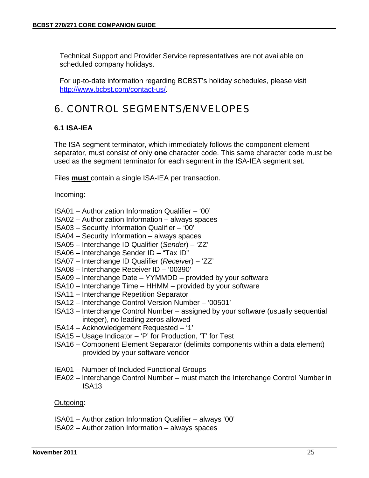Technical Support and Provider Service representatives are not available on scheduled company holidays.

For up-to-date information regarding BCBST's holiday schedules, please visit http://www.bcbst.com/contact-us/.

# 6. CONTROL SEGMENTS/ENVELOPES

### **6.1 ISA-IEA**

The ISA segment terminator, which immediately follows the component element separator, must consist of only **one** character code. This same character code must be used as the segment terminator for each segment in the ISA-IEA segment set.

Files **must** contain a single ISA-IEA per transaction.

#### Incoming:

- ISA01 Authorization Information Qualifier '00'
- ISA02 Authorization Information always spaces
- ISA03 Security Information Qualifier '00'
- ISA04 Security Information always spaces
- ISA05 Interchange ID Qualifier (*Sender*) 'ZZ'
- ISA06 Interchange Sender ID "Tax ID"
- ISA07 Interchange ID Qualifier (*Receiver*) 'ZZ'
- ISA08 Interchange Receiver ID '00390'
- ISA09 Interchange Date YYMMDD provided by your software
- ISA10 Interchange Time HHMM provided by your software
- ISA11 Interchange Repetition Separator
- ISA12 Interchange Control Version Number '00501'
- ISA13 Interchange Control Number assigned by your software (usually sequential integer), no leading zeros allowed
- ISA14 Acknowledgement Requested '1'
- ISA15 Usage Indicator 'P' for Production, 'T' for Test
- ISA16 Component Element Separator (delimits components within a data element) provided by your software vendor
- IEA01 Number of Included Functional Groups
- IEA02 Interchange Control Number must match the Interchange Control Number in ISA13

#### Outgoing:

- ISA01 Authorization Information Qualifier always '00'
- ISA02 Authorization Information always spaces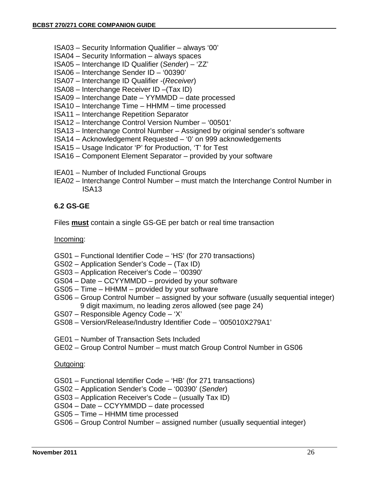- ISA03 Security Information Qualifier always '00'
- ISA04 Security Information always spaces
- ISA05 Interchange ID Qualifier (*Sender*) 'ZZ'
- ISA06 Interchange Sender ID '00390'
- ISA07 Interchange ID Qualifier -(*Receiver*)
- ISA08 Interchange Receiver ID –(Tax ID)
- ISA09 Interchange Date YYMMDD date processed
- ISA10 Interchange Time HHMM time processed
- ISA11 Interchange Repetition Separator
- ISA12 Interchange Control Version Number '00501'
- ISA13 Interchange Control Number Assigned by original sender's software
- ISA14 Acknowledgement Requested '0' on 999 acknowledgements
- ISA15 Usage Indicator 'P' for Production, 'T' for Test
- ISA16 Component Element Separator provided by your software
- IEA01 Number of Included Functional Groups
- IEA02 Interchange Control Number must match the Interchange Control Number in ISA13

#### **6.2 GS-GE**

Files **must** contain a single GS-GE per batch or real time transaction

#### Incoming:

- GS01 Functional Identifier Code 'HS' (for 270 transactions)
- GS02 Application Sender's Code (Tax ID)
- GS03 Application Receiver's Code '00390'
- GS04 Date CCYYMMDD provided by your software
- GS05 Time HHMM provided by your software
- GS06 Group Control Number assigned by your software (usually sequential integer) 9 digit maximum, no leading zeros allowed (see page 24)
- GS07 Responsible Agency Code 'X'
- GS08 Version/Release/Industry Identifier Code '005010X279A1'
- GE01 Number of Transaction Sets Included
- GE02 Group Control Number must match Group Control Number in GS06

#### Outgoing:

- GS01 Functional Identifier Code 'HB' (for 271 transactions)
- GS02 Application Sender's Code '00390' (*Sender*)
- GS03 Application Receiver's Code (usually Tax ID)
- GS04 Date CCYYMMDD date processed
- GS05 Time HHMM time processed
- GS06 Group Control Number assigned number (usually sequential integer)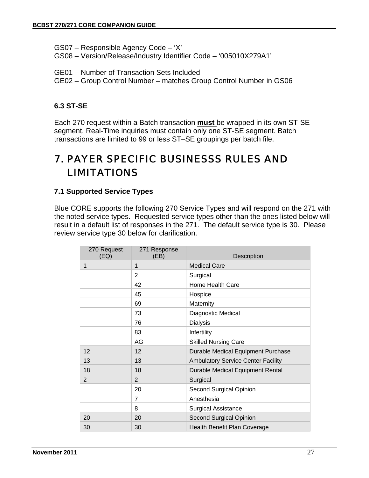GS07 – Responsible Agency Code – 'X'

GS08 – Version/Release/Industry Identifier Code – '005010X279A1'

GE01 – Number of Transaction Sets Included

GE02 – Group Control Number – matches Group Control Number in GS06

### **6.3 ST-SE**

Each 270 request within a Batch transaction **must** be wrapped in its own ST-SE segment. Real-Time inquiries must contain only one ST-SE segment. Batch transactions are limited to 99 or less ST–SE groupings per batch file.

# 7. PAYER SPECIFIC BUSINESSS RULES AND LIMITATIONS

### **7.1 Supported Service Types**

Blue CORE supports the following 270 Service Types and will respond on the 271 with the noted service types. Requested service types other than the ones listed below will result in a default list of responses in the 271. The default service type is 30. Please review service type 30 below for clarification.

| 270 Request<br>(EQ) | 271 Response<br>(EB) | Description                               |
|---------------------|----------------------|-------------------------------------------|
| $\mathbf{1}$        | 1                    | <b>Medical Care</b>                       |
|                     | $\overline{2}$       | Surgical                                  |
|                     | 42                   | Home Health Care                          |
|                     | 45                   | Hospice                                   |
|                     | 69                   | Maternity                                 |
|                     | 73                   | Diagnostic Medical                        |
|                     | 76                   | <b>Dialysis</b>                           |
|                     | 83                   | Infertility                               |
|                     | AG                   | <b>Skilled Nursing Care</b>               |
| 12                  | 12                   | Durable Medical Equipment Purchase        |
| 13                  | 13                   | <b>Ambulatory Service Center Facility</b> |
| 18                  | 18                   | Durable Medical Equipment Rental          |
| 2                   | 2                    | Surgical                                  |
|                     | 20                   | Second Surgical Opinion                   |
|                     | $\overline{7}$       | Anesthesia                                |
|                     | 8                    | <b>Surgical Assistance</b>                |
| 20                  | 20                   | Second Surgical Opinion                   |
| 30                  | 30                   | Health Benefit Plan Coverage              |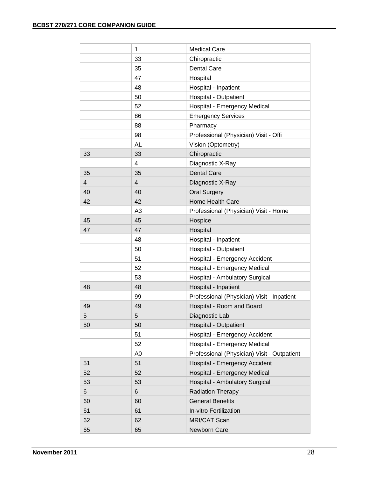|    | 1              | <b>Medical Care</b>                         |  |
|----|----------------|---------------------------------------------|--|
|    | 33             | Chiropractic                                |  |
|    | 35             | Dental Care                                 |  |
|    | 47             | Hospital                                    |  |
|    | 48             | Hospital - Inpatient                        |  |
|    | 50             | Hospital - Outpatient                       |  |
|    | 52             | Hospital - Emergency Medical                |  |
|    | 86             | <b>Emergency Services</b>                   |  |
|    | 88             | Pharmacy                                    |  |
|    | 98             | Professional (Physician) Visit - Offi       |  |
|    | <b>AL</b>      | Vision (Optometry)                          |  |
| 33 | 33             | Chiropractic                                |  |
|    | $\overline{4}$ | Diagnostic X-Ray                            |  |
| 35 | 35             | <b>Dental Care</b>                          |  |
| 4  | $\overline{4}$ | Diagnostic X-Ray                            |  |
| 40 | 40             | <b>Oral Surgery</b>                         |  |
| 42 | 42             | Home Health Care                            |  |
|    | A <sub>3</sub> | Professional (Physician) Visit - Home       |  |
| 45 | 45             | Hospice                                     |  |
| 47 | 47             | Hospital                                    |  |
|    | 48             | Hospital - Inpatient                        |  |
|    | 50             | <b>Hospital - Outpatient</b>                |  |
|    | 51             | Hospital - Emergency Accident               |  |
|    | 52             | Hospital - Emergency Medical                |  |
|    | 53             | Hospital - Ambulatory Surgical              |  |
| 48 | 48             | Hospital - Inpatient                        |  |
|    | 99             | Professional (Physician) Visit - Inpatient  |  |
| 49 | 49             | Hospital - Room and Board                   |  |
| 5  | 5              | Diagnostic Lab                              |  |
| 50 | 50             | <b>Hospital - Outpatient</b>                |  |
|    | 51             | Hospital - Emergency Accident               |  |
|    | 52             | Hospital - Emergency Medical                |  |
|    | A <sub>0</sub> | Professional (Physician) Visit - Outpatient |  |
| 51 | 51             | Hospital - Emergency Accident               |  |
| 52 | 52             | Hospital - Emergency Medical                |  |
| 53 | 53             | Hospital - Ambulatory Surgical              |  |
| 6  | 6              | <b>Radiation Therapy</b>                    |  |
| 60 | 60             | <b>General Benefits</b>                     |  |
| 61 | 61             | In-vitro Fertilization                      |  |
| 62 | 62             | <b>MRI/CAT Scan</b>                         |  |
| 65 | 65             | Newborn Care                                |  |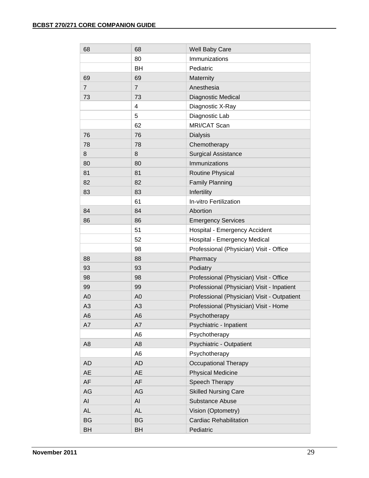| 68             | 68             | Well Baby Care                              |
|----------------|----------------|---------------------------------------------|
|                | 80             | Immunizations                               |
|                | BH             | Pediatric                                   |
| 69             | 69             | Maternity                                   |
| $\overline{7}$ | $\overline{7}$ | Anesthesia                                  |
| 73             | 73             | Diagnostic Medical                          |
|                | 4              | Diagnostic X-Ray                            |
|                | 5              | Diagnostic Lab                              |
|                | 62             | MRI/CAT Scan                                |
| 76             | 76             | <b>Dialysis</b>                             |
| 78             | 78             | Chemotherapy                                |
| 8              | 8              | <b>Surgical Assistance</b>                  |
| 80             | 80             | Immunizations                               |
| 81             | 81             | Routine Physical                            |
| 82             | 82             | <b>Family Planning</b>                      |
| 83             | 83             | Infertility                                 |
|                | 61             | In-vitro Fertilization                      |
| 84             | 84             | Abortion                                    |
| 86             | 86             | <b>Emergency Services</b>                   |
|                | 51             | Hospital - Emergency Accident               |
|                | 52             | Hospital - Emergency Medical                |
|                | 98             | Professional (Physician) Visit - Office     |
| 88             | 88             | Pharmacy                                    |
| 93             | 93             | Podiatry                                    |
| 98             | 98             | Professional (Physician) Visit - Office     |
| 99             | 99             | Professional (Physician) Visit - Inpatient  |
| A <sub>0</sub> | A <sub>0</sub> | Professional (Physician) Visit - Outpatient |
| A <sub>3</sub> | A3             | Professional (Physician) Visit - Home       |
| A <sub>6</sub> | A <sub>6</sub> | Psychotherapy                               |
| A7             | A7             | Psychiatric - Inpatient                     |
|                | A <sub>6</sub> | Psychotherapy                               |
| A <sub>8</sub> | A <sub>8</sub> | Psychiatric - Outpatient                    |
|                | A <sub>6</sub> | Psychotherapy                               |
| AD             | <b>AD</b>      | <b>Occupational Therapy</b>                 |
| <b>AE</b>      | <b>AE</b>      | <b>Physical Medicine</b>                    |
| AF             | AF             | Speech Therapy                              |
| AG             | AG             | <b>Skilled Nursing Care</b>                 |
| AI             | AI             | Substance Abuse                             |
| AL             | <b>AL</b>      | Vision (Optometry)                          |
| BG             | <b>BG</b>      | <b>Cardiac Rehabilitation</b>               |
| <b>BH</b>      | BH             | Pediatric                                   |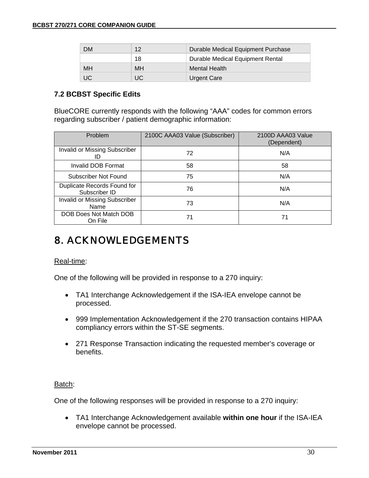| DМ        | 12 <sup>°</sup> | Durable Medical Equipment Purchase |
|-----------|-----------------|------------------------------------|
|           | 18              | Durable Medical Equipment Rental   |
| <b>MH</b> | MH              | <b>Mental Health</b>               |
| UC        | UC              | <b>Urgent Care</b>                 |

#### **7.2 BCBST Specific Edits**

BlueCORE currently responds with the following "AAA" codes for common errors regarding subscriber / patient demographic information:

| Problem                                      | 2100C AAA03 Value (Subscriber) | 2100D AAA03 Value<br>(Dependent) |
|----------------------------------------------|--------------------------------|----------------------------------|
| Invalid or Missing Subscriber<br>ID          | 72                             | N/A                              |
| Invalid DOB Format                           | 58                             | 58                               |
| Subscriber Not Found                         | 75                             | N/A                              |
| Duplicate Records Found for<br>Subscriber ID | 76                             | N/A                              |
| <b>Invalid or Missing Subscriber</b><br>Name | 73                             | N/A                              |
| DOB Does Not Match DOB<br>On File            | 71                             | 71                               |

# 8. ACKNOWLEDGEMENTS

#### Real-time:

One of the following will be provided in response to a 270 inquiry:

- TA1 Interchange Acknowledgement if the ISA-IEA envelope cannot be processed.
- 999 Implementation Acknowledgement if the 270 transaction contains HIPAA compliancy errors within the ST-SE segments.
- 271 Response Transaction indicating the requested member's coverage or benefits.

#### Batch:

One of the following responses will be provided in response to a 270 inquiry:

• TA1 Interchange Acknowledgement available **within one hour** if the ISA-IEA envelope cannot be processed.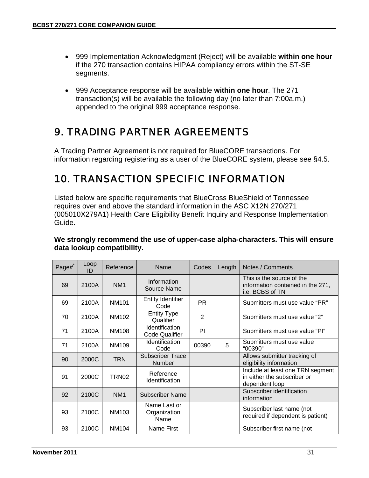- 999 Implementation Acknowledgment (Reject) will be available **within one hour** if the 270 transaction contains HIPAA compliancy errors within the ST-SE segments.
- 999 Acceptance response will be available **within one hour**. The 271 transaction(s) will be available the following day (no later than 7:00a.m.) appended to the original 999 acceptance response.

# 9. TRADING PARTNER AGREEMENTS

A Trading Partner Agreement is not required for BlueCORE transactions. For information regarding registering as a user of the BlueCORE system, please see §4.5.

# 10. TRANSACTION SPECIFIC INFORMATION

Listed below are specific requirements that BlueCross BlueShield of Tennessee requires over and above the standard information in the ASC X12N 270/271 (005010X279A1) Health Care Eligibility Benefit Inquiry and Response Implementation Guide.

| Page# | Loop<br>ID | Reference       | Name                                     | Codes          | Length | Notes / Comments                                                                  |
|-------|------------|-----------------|------------------------------------------|----------------|--------|-----------------------------------------------------------------------------------|
| 69    | 2100A      | NM <sub>1</sub> | Information<br>Source Name               |                |        | This is the source of the<br>information contained in the 271,<br>i.e. BCBS of TN |
| 69    | 2100A      | <b>NM101</b>    | Entity Identifier<br>Code                | PR.            |        | Submitters must use value "PR"                                                    |
| 70    | 2100A      | NM102           | <b>Entity Type</b><br>Qualifier          | $\overline{2}$ |        | Submitters must use value "2"                                                     |
| 71    | 2100A      | <b>NM108</b>    | Identification<br><b>Code Qualifier</b>  | PI             |        | Submitters must use value "PI"                                                    |
| 71    | 2100A      | NM109           | Identification<br>Code                   | 00390          | 5      | Submitters must use value<br>"00390"                                              |
| 90    | 2000C      | <b>TRN</b>      | <b>Subscriber Trace</b><br><b>Number</b> |                |        | Allows submitter tracking of<br>eligibility information                           |
| 91    | 2000C      | TRN02           | Reference<br>Identification              |                |        | Include at least one TRN segment<br>in either the subscriber or<br>dependent loop |
| 92    | 2100C      | NM <sub>1</sub> | <b>Subscriber Name</b>                   |                |        | Subscriber identification<br>information                                          |
| 93    | 2100C      | <b>NM103</b>    | Name Last or<br>Organization<br>Name     |                |        | Subscriber last name (not<br>required if dependent is patient)                    |
| 93    | 2100C      | NM104           | Name First                               |                |        | Subscriber first name (not                                                        |

#### **We strongly recommend the use of upper-case alpha-characters. This will ensure data lookup compatibility.**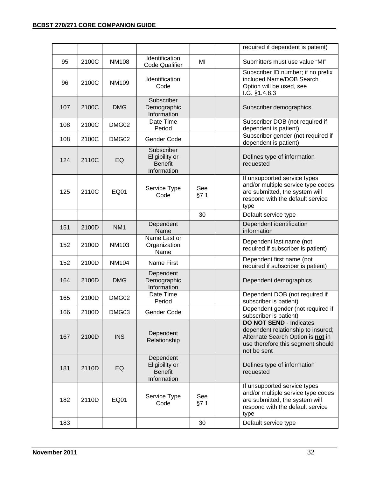|     |       |                 |                                                               |             | required if dependent is patient)                                                                                                                             |
|-----|-------|-----------------|---------------------------------------------------------------|-------------|---------------------------------------------------------------------------------------------------------------------------------------------------------------|
| 95  | 2100C | <b>NM108</b>    | Identification<br><b>Code Qualifier</b>                       | MI          | Submitters must use value "MI"                                                                                                                                |
| 96  | 2100C | <b>NM109</b>    | Identification<br>Code                                        |             | Subscriber ID number; if no prefix<br>included Name/DOB Search<br>Option will be used, see<br>1.G. §1.4.8.3                                                   |
| 107 | 2100C | <b>DMG</b>      | Subscriber<br>Demographic<br>Information                      |             | Subscriber demographics                                                                                                                                       |
| 108 | 2100C | DMG02           | Date Time<br>Period                                           |             | Subscriber DOB (not required if<br>dependent is patient)                                                                                                      |
| 108 | 2100C | DMG02           | Gender Code                                                   |             | Subscriber gender (not required if<br>dependent is patient)                                                                                                   |
| 124 | 2110C | EQ              | Subscriber<br>Eligibility or<br><b>Benefit</b><br>Information |             | Defines type of information<br>requested                                                                                                                      |
| 125 | 2110C | <b>EQ01</b>     | Service Type<br>Code                                          | See<br>§7.1 | If unsupported service types<br>and/or multiple service type codes<br>are submitted, the system will<br>respond with the default service<br>type              |
|     |       |                 |                                                               | 30          | Default service type                                                                                                                                          |
| 151 | 2100D | NM <sub>1</sub> | Dependent<br>Name                                             |             | Dependent identification<br>information                                                                                                                       |
| 152 | 2100D | <b>NM103</b>    | Name Last or<br>Organization<br>Name                          |             | Dependent last name (not<br>required if subscriber is patient)                                                                                                |
| 152 | 2100D | <b>NM104</b>    | <b>Name First</b>                                             |             | Dependent first name (not<br>required if subscriber is patient)                                                                                               |
| 164 | 2100D | <b>DMG</b>      | Dependent<br>Demographic<br>Information                       |             | Dependent demographics                                                                                                                                        |
| 165 | 2100D | DMG02           | Date Time<br>Period                                           |             | Dependent DOB (not required if<br>subscriber is patient)                                                                                                      |
| 166 | 2100D | DMG03           | Gender Code                                                   |             | Dependent gender (not required if<br>subscriber is patient)                                                                                                   |
| 167 | 2100D | <b>INS</b>      | Dependent<br>Relationship                                     |             | <b>DO NOT SEND - Indicates</b><br>dependent relationship to insured;<br>Alternate Search Option is not in<br>use therefore this segment should<br>not be sent |
| 181 | 2110D | EQ              | Dependent<br>Eligibility or<br><b>Benefit</b><br>Information  |             | Defines type of information<br>requested                                                                                                                      |
| 182 | 2110D | EQ01            | Service Type<br>Code                                          | See<br>§7.1 | If unsupported service types<br>and/or multiple service type codes<br>are submitted, the system will<br>respond with the default service<br>type              |
| 183 |       |                 |                                                               | 30          | Default service type                                                                                                                                          |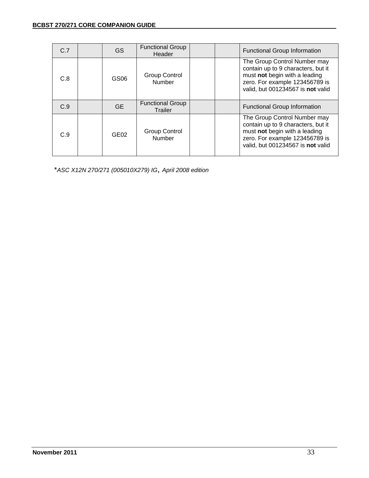| C.7 | GS               | <b>Functional Group</b><br>Header         |  | <b>Functional Group Information</b>                                                                                                                                        |
|-----|------------------|-------------------------------------------|--|----------------------------------------------------------------------------------------------------------------------------------------------------------------------------|
| C.8 | GS <sub>06</sub> | Group Control<br>Number                   |  | The Group Control Number may<br>contain up to 9 characters, but it<br>must not begin with a leading<br>zero. For example 123456789 is<br>valid, but 001234567 is not valid |
| C.9 | GE.              | <b>Functional Group</b><br><b>Trailer</b> |  | <b>Functional Group Information</b>                                                                                                                                        |
| C.9 | GEO2             | Group Control<br>Number                   |  | The Group Control Number may<br>contain up to 9 characters, but it<br>must not begin with a leading<br>zero. For example 123456789 is<br>valid, but 001234567 is not valid |

\**ASC X12N 270/271 (005010X279) IG*, *April 2008 edition*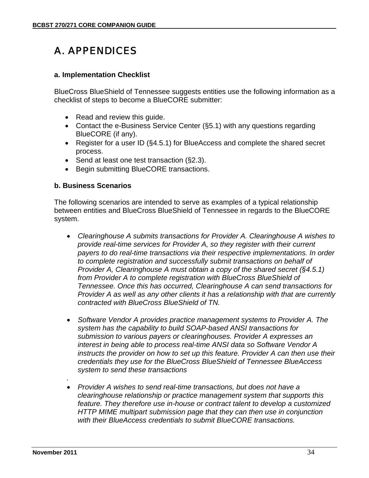# A. APPENDICES

#### **a. Implementation Checklist**

BlueCross BlueShield of Tennessee suggests entities use the following information as a checklist of steps to become a BlueCORE submitter:

- Read and review this quide.
- Contact the e-Business Service Center (§5.1) with any questions regarding BlueCORE (if any).
- Register for a user ID (§4.5.1) for BlueAccess and complete the shared secret process.
- Send at least one test transaction (§2.3).
- Begin submitting BlueCORE transactions.

#### **b. Business Scenarios**

The following scenarios are intended to serve as examples of a typical relationship between entities and BlueCross BlueShield of Tennessee in regards to the BlueCORE system.

- *Clearinghouse A submits transactions for Provider A. Clearinghouse A wishes to provide real-time services for Provider A, so they register with their current payers to do real-time transactions via their respective implementations. In order to complete registration and successfully submit transactions on behalf of Provider A, Clearinghouse A must obtain a copy of the shared secret (§4.5.1) from Provider A to complete registration with BlueCross BlueShield of Tennessee. Once this has occurred, Clearinghouse A can send transactions for Provider A as well as any other clients it has a relationship with that are currently contracted with BlueCross BlueShield of TN.*
- *Software Vendor A provides practice management systems to Provider A. The system has the capability to build SOAP-based ANSI transactions for submission to various payers or clearinghouses. Provider A expresses an interest in being able to process real-time ANSI data so Software Vendor A instructs the provider on how to set up this feature. Provider A can then use their credentials they use for the BlueCross BlueShield of Tennessee BlueAccess system to send these transactions*
- *Provider A wishes to send real-time transactions, but does not have a clearinghouse relationship or practice management system that supports this feature. They therefore use in-house or contract talent to develop a customized HTTP MIME multipart submission page that they can then use in conjunction with their BlueAccess credentials to submit BlueCORE transactions.*

*.*